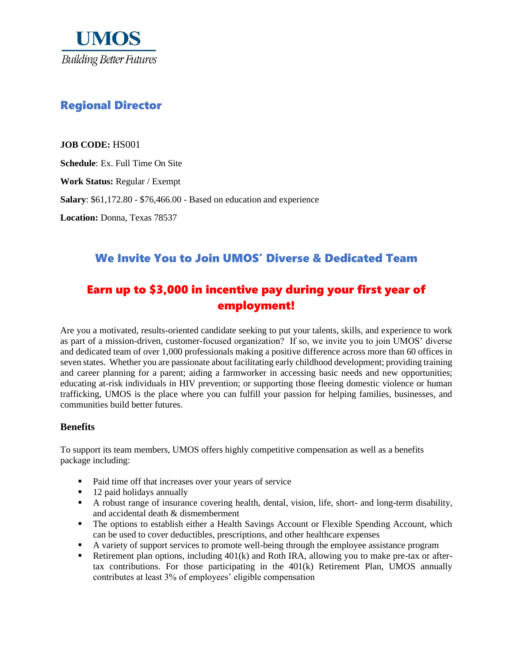

# Regional Director

**JOB CODE:** HS001

**Schedule**: Ex. Full Time On Site

**Work Status:** Regular / Exempt

**Salary**: \$61,172.80 - \$76,466.00 - Based on education and experience

**Location:** Donna, Texas 78537

# We Invite You to Join UMOS' Diverse & Dedicated Team

# Earn up to \$3,000 in incentive pay during your first year of employment!

Are you a motivated, results-oriented candidate seeking to put your talents, skills, and experience to work as part of a mission-driven, customer-focused organization? If so, we invite you to join UMOS' diverse and dedicated team of over 1,000 professionals making a positive difference across more than 60 offices in seven states. Whether you are passionate about facilitating early childhood development; providing training and career planning for a parent; aiding a farmworker in accessing basic needs and new opportunities; educating at-risk individuals in HIV prevention; or supporting those fleeing domestic violence or human trafficking, UMOS is the place where you can fulfill your passion for helping families, businesses, and communities build better futures.

#### **Benefits**

To support its team members, UMOS offers highly competitive compensation as well as a benefits package including:

- Paid time off that increases over your years of service
- 12 paid holidays annually
- A robust range of insurance covering health, dental, vision, life, short- and long-term disability, and accidental death & dismemberment
- **•** The options to establish either a Health Savings Account or Flexible Spending Account, which can be used to cover deductibles, prescriptions, and other healthcare expenses
- A variety of support services to promote well-being through the employee assistance program
- Retirement plan options, including  $401(k)$  and Roth IRA, allowing you to make pre-tax or aftertax contributions. For those participating in the 401(k) Retirement Plan, UMOS annually contributes at least 3% of employees' eligible compensation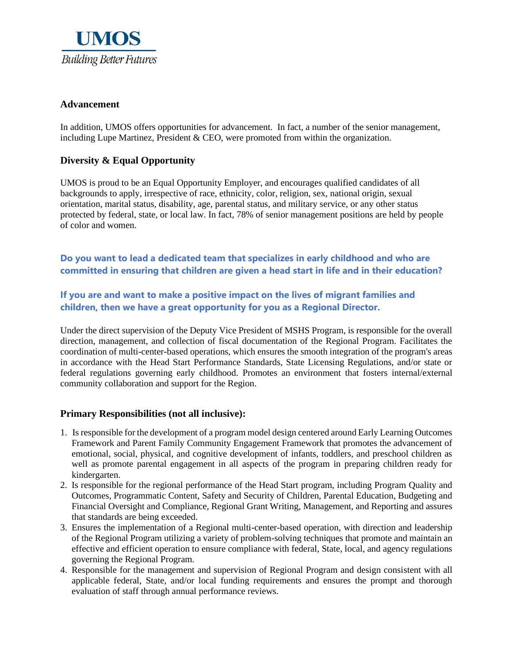

## **Advancement**

In addition, UMOS offers opportunities for advancement. In fact, a number of the senior management, including Lupe Martinez, President  $\&$  CEO, were promoted from within the organization.

## **Diversity & Equal Opportunity**

UMOS is proud to be an Equal Opportunity Employer, and encourages qualified candidates of all backgrounds to apply, irrespective of race, ethnicity, color, religion, sex, national origin, sexual orientation, marital status, disability, age, parental status, and military service, or any other status protected by federal, state, or local law. In fact, 78% of senior management positions are held by people of color and women.

**Do you want to lead a dedicated team that specializes in early childhood and who are committed in ensuring that children are given a head start in life and in their education?**

**If you are and want to make a positive impact on the lives of migrant families and children, then we have a great opportunity for you as a Regional Director.**

Under the direct supervision of the Deputy Vice President of MSHS Program, is responsible for the overall direction, management, and collection of fiscal documentation of the Regional Program. Facilitates the coordination of multi-center-based operations, which ensures the smooth integration of the program's areas in accordance with the Head Start Performance Standards, State Licensing Regulations, and/or state or federal regulations governing early childhood. Promotes an environment that fosters internal/external community collaboration and support for the Region.

#### **Primary Responsibilities (not all inclusive):**

- 1. Is responsible for the development of a program model design centered around Early Learning Outcomes Framework and Parent Family Community Engagement Framework that promotes the advancement of emotional, social, physical, and cognitive development of infants, toddlers, and preschool children as well as promote parental engagement in all aspects of the program in preparing children ready for kindergarten.
- 2. Is responsible for the regional performance of the Head Start program, including Program Quality and Outcomes, Programmatic Content, Safety and Security of Children, Parental Education, Budgeting and Financial Oversight and Compliance, Regional Grant Writing, Management, and Reporting and assures that standards are being exceeded.
- 3. Ensures the implementation of a Regional multi-center-based operation, with direction and leadership of the Regional Program utilizing a variety of problem-solving techniques that promote and maintain an effective and efficient operation to ensure compliance with federal, State, local, and agency regulations governing the Regional Program.
- 4. Responsible for the management and supervision of Regional Program and design consistent with all applicable federal, State, and/or local funding requirements and ensures the prompt and thorough evaluation of staff through annual performance reviews.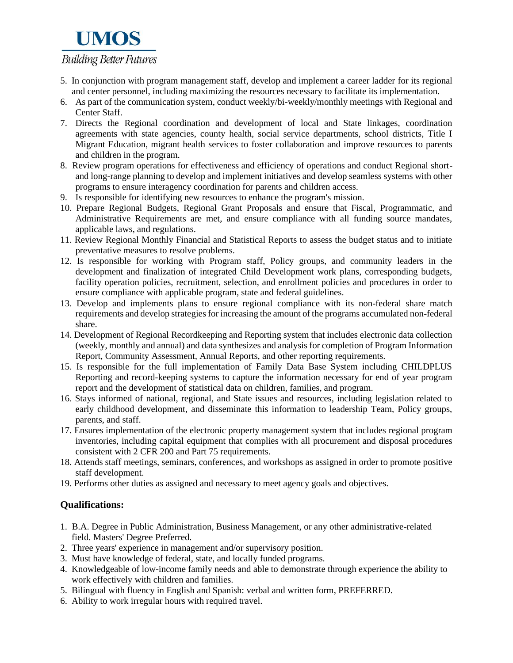

- 5. In conjunction with program management staff, develop and implement a career ladder for its regional and center personnel, including maximizing the resources necessary to facilitate its implementation.
- 6. As part of the communication system, conduct weekly/bi-weekly/monthly meetings with Regional and Center Staff.
- 7. Directs the Regional coordination and development of local and State linkages, coordination agreements with state agencies, county health, social service departments, school districts, Title I Migrant Education, migrant health services to foster collaboration and improve resources to parents and children in the program.
- 8. Review program operations for effectiveness and efficiency of operations and conduct Regional shortand long-range planning to develop and implement initiatives and develop seamless systems with other programs to ensure interagency coordination for parents and children access.
- 9. Is responsible for identifying new resources to enhance the program's mission.
- 10. Prepare Regional Budgets, Regional Grant Proposals and ensure that Fiscal, Programmatic, and Administrative Requirements are met, and ensure compliance with all funding source mandates, applicable laws, and regulations.
- 11. Review Regional Monthly Financial and Statistical Reports to assess the budget status and to initiate preventative measures to resolve problems.
- 12. Is responsible for working with Program staff, Policy groups, and community leaders in the development and finalization of integrated Child Development work plans, corresponding budgets, facility operation policies, recruitment, selection, and enrollment policies and procedures in order to ensure compliance with applicable program, state and federal guidelines.
- 13. Develop and implements plans to ensure regional compliance with its non-federal share match requirements and develop strategies for increasing the amount of the programs accumulated non-federal share.
- 14. Development of Regional Recordkeeping and Reporting system that includes electronic data collection (weekly, monthly and annual) and data synthesizes and analysis for completion of Program Information Report, Community Assessment, Annual Reports, and other reporting requirements.
- 15. Is responsible for the full implementation of Family Data Base System including CHILDPLUS Reporting and record-keeping systems to capture the information necessary for end of year program report and the development of statistical data on children, families, and program.
- 16. Stays informed of national, regional, and State issues and resources, including legislation related to early childhood development, and disseminate this information to leadership Team, Policy groups, parents, and staff.
- 17. Ensures implementation of the electronic property management system that includes regional program inventories, including capital equipment that complies with all procurement and disposal procedures consistent with 2 CFR 200 and Part 75 requirements.
- 18. Attends staff meetings, seminars, conferences, and workshops as assigned in order to promote positive staff development.
- 19. Performs other duties as assigned and necessary to meet agency goals and objectives.

#### **Qualifications:**

- 1. B.A. Degree in Public Administration, Business Management, or any other administrative-related field. Masters' Degree Preferred.
- 2. Three years' experience in management and/or supervisory position.
- 3. Must have knowledge of federal, state, and locally funded programs.
- 4. Knowledgeable of low-income family needs and able to demonstrate through experience the ability to work effectively with children and families.
- 5. Bilingual with fluency in English and Spanish: verbal and written form, PREFERRED.
- 6. Ability to work irregular hours with required travel.